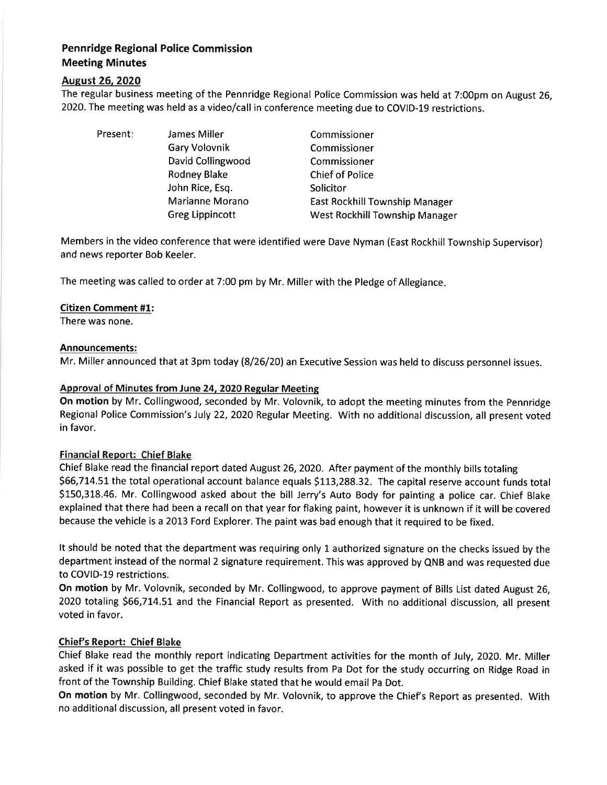# Pennridge Regional Police Commission Meeting Minutes

## August 26, 2020

The regular business meeting of the Pennridge Regional Police Commission was held at 7:00pm on August 26, 2020. The meeting was held as a video/call in conference meeting due to COVID-19 restrictions.

| Present: | James Miller           | Commissioner                   |
|----------|------------------------|--------------------------------|
|          | Gary Volovnik          | Commissioner                   |
|          | David Collingwood      | Commissioner                   |
|          | <b>Rodney Blake</b>    | <b>Chief of Police</b>         |
|          | John Rice, Esq.        | Solicitor                      |
|          | Marianne Morano        | East Rockhill Township Manager |
|          | <b>Greg Lippincott</b> | West Rockhill Township Manager |

Members in the video conference that were identified were Dave Nyman (East Rockhill Township Supervisor) and news reporter Bob Keeler.

The meeting was called to order at 7:00 pm by Mr. Miller with the Pledge of Allegiance

### Citizen Comment #1:

There was none.

### Announcements:

Mr. Miller announced that at 3pm today (8/26/20) an Executive Session was held to discuss personnel issues.

## Approval of Minutes from June 24. 2020 Regular Meeting

On motion by Mr. Collingwood, seconded by Mr. Volovnik, to adopt the meeting minutes from the Pennridge Regional Police Commission's July 22, 2020 Regular Meeting. With no additional discussion, all present voted in favor.

### Financial Report: Chief Blake

Chief Blake read the financial report dated August26,2O2O. After payment of the monthly bills totaling \$66,714.51 the total operational account balance equals \$113,288.32. The capital reserve account funds total 5150,318.46. Mr. Collingwood asked about the bill Jerry's Auto Body for painting a police car. Chief Blake explained that there had been a recall on that year for flaking paint, however it is unknown if it will be covered because the vehicle is a 2013 Ford Explorer. The paint was bad enough that it required to be fixed.

It should be noted that the department was requiring only 1 authorized signature on the checks issued by the department instead of the normal2 signature requirement. This was approved by QNB and was requested due to COVID-19 restrictions.

On motion by Mr. Volovnik, seconded by Mr. Collingwood, to approve payment of Bills List dated August 26, 2020 totaling \$66,714.51 and the Financial Report as presented. With no additional discussion, all present voted in favor.

### Chief's Report: Chief Blake

Chief Blake read the monthly report indicating Department activities for the month of July, 2020. Mr. Miller asked if it was possible to get the traffic study results from Pa Dot for the study occurring on Ridge Road in front of the Township Building. Chief Blake stated that he would email Pa Dot.

On motion by Mr. Collingwood, seconded by Mr. Volovnik, to approve the Chief's Report as presented. With no additional discussion, all present voted in favor.